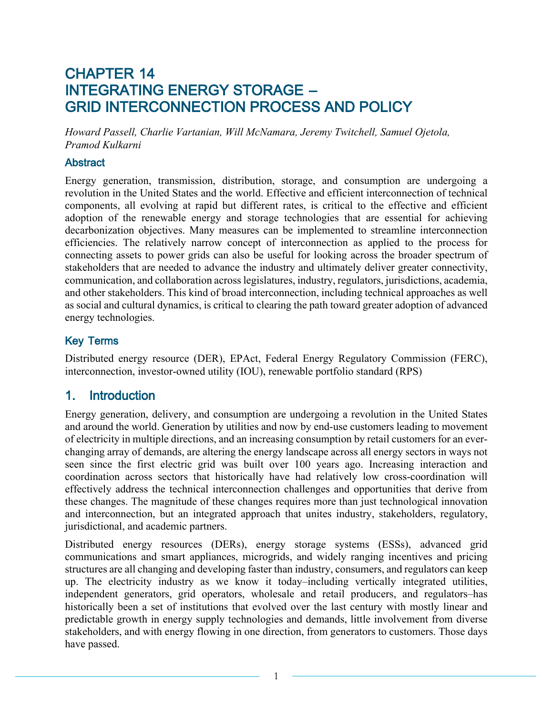## CHAPTER 14 INTEGRATING ENERGY STORAGE – GRID INTERCONNECTION PROCESS AND POLICY

*Howard Passell, Charlie Vartanian, Will McNamara, Jeremy Twitchell, Samuel Ojetola, Pramod Kulkarni*

#### **Abstract**

Energy generation, transmission, distribution, storage, and consumption are undergoing a revolution in the United States and the world. Effective and efficient interconnection of technical components, all evolving at rapid but different rates, is critical to the effective and efficient adoption of the renewable energy and storage technologies that are essential for achieving decarbonization objectives. Many measures can be implemented to streamline interconnection efficiencies. The relatively narrow concept of interconnection as applied to the process for connecting assets to power grids can also be useful for looking across the broader spectrum of stakeholders that are needed to advance the industry and ultimately deliver greater connectivity, communication, and collaboration across legislatures, industry, regulators, jurisdictions, academia, and other stakeholders. This kind of broad interconnection, including technical approaches as well as social and cultural dynamics, is critical to clearing the path toward greater adoption of advanced energy technologies.

#### Key Terms

Distributed energy resource (DER), EPAct, Federal Energy Regulatory Commission (FERC), interconnection, investor-owned utility (IOU), renewable portfolio standard (RPS)

#### 1. Introduction

Energy generation, delivery, and consumption are undergoing a revolution in the United States and around the world. Generation by utilities and now by end-use customers leading to movement of electricity in multiple directions, and an increasing consumption by retail customers for an everchanging array of demands, are altering the energy landscape across all energy sectors in ways not seen since the first electric grid was built over 100 years ago. Increasing interaction and coordination across sectors that historically have had relatively low cross-coordination will effectively address the technical interconnection challenges and opportunities that derive from these changes. The magnitude of these changes requires more than just technological innovation and interconnection, but an integrated approach that unites industry, stakeholders, regulatory, jurisdictional, and academic partners.

Distributed energy resources (DERs), energy storage systems (ESSs), advanced grid communications and smart appliances, microgrids, and widely ranging incentives and pricing structures are all changing and developing faster than industry, consumers, and regulators can keep up. The electricity industry as we know it today–including vertically integrated utilities, independent generators, grid operators, wholesale and retail producers, and regulators–has historically been a set of institutions that evolved over the last century with mostly linear and predictable growth in energy supply technologies and demands, little involvement from diverse stakeholders, and with energy flowing in one direction, from generators to customers. Those days have passed.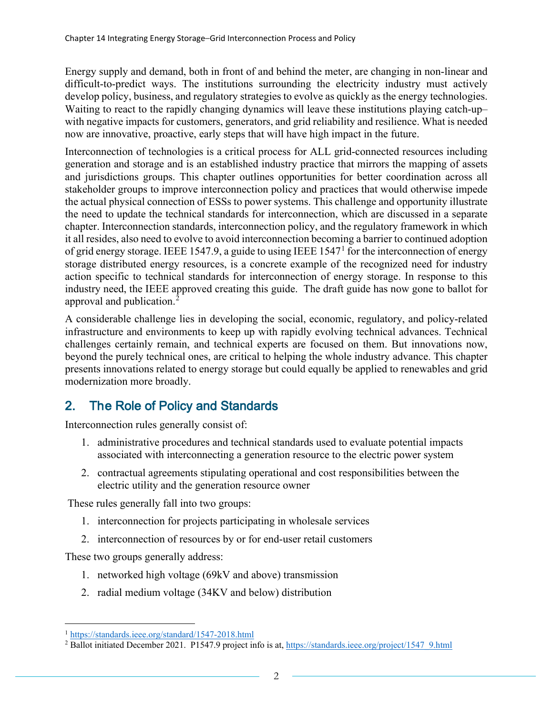Energy supply and demand, both in front of and behind the meter, are changing in non-linear and difficult-to-predict ways. The institutions surrounding the electricity industry must actively develop policy, business, and regulatory strategies to evolve as quickly as the energy technologies. Waiting to react to the rapidly changing dynamics will leave these institutions playing catch-up– with negative impacts for customers, generators, and grid reliability and resilience. What is needed now are innovative, proactive, early steps that will have high impact in the future.

Interconnection of technologies is a critical process for ALL grid-connected resources including generation and storage and is an established industry practice that mirrors the mapping of assets and jurisdictions groups. This chapter outlines opportunities for better coordination across all stakeholder groups to improve interconnection policy and practices that would otherwise impede the actual physical connection of ESSs to power systems. This challenge and opportunity illustrate the need to update the technical standards for interconnection, which are discussed in a separate chapter. Interconnection standards, interconnection policy, and the regulatory framework in which it all resides, also need to evolve to avoid interconnection becoming a barrier to continued adoption of grid energy storage. IEEE 1547.9, a guide to using IEEE 1547[1](#page-1-0) for the interconnection of energy storage distributed energy resources, is a concrete example of the recognized need for industry action specific to technical standards for interconnection of energy storage. In response to this industry need, the IEEE approved creating this guide. The draft guide has now gone to ballot for approval and publication.[2](#page-1-1)

A considerable challenge lies in developing the social, economic, regulatory, and policy-related infrastructure and environments to keep up with rapidly evolving technical advances. Technical challenges certainly remain, and technical experts are focused on them. But innovations now, beyond the purely technical ones, are critical to helping the whole industry advance. This chapter presents innovations related to energy storage but could equally be applied to renewables and grid modernization more broadly.

## 2. The Role of Policy and Standards

Interconnection rules generally consist of:

- 1. administrative procedures and technical standards used to evaluate potential impacts associated with interconnecting a generation resource to the electric power system
- 2. contractual agreements stipulating operational and cost responsibilities between the electric utility and the generation resource owner

These rules generally fall into two groups:

- 1. interconnection for projects participating in wholesale services
- 2. interconnection of resources by or for end-user retail customers

These two groups generally address:

- 1. networked high voltage (69kV and above) transmission
- 2. radial medium voltage (34KV and below) distribution

<span id="page-1-0"></span><sup>1</sup> <https://standards.ieee.org/standard/1547-2018.html>

<span id="page-1-1"></span><sup>&</sup>lt;sup>2</sup> Ballot initiated December 2021. P1547.9 project info is at, [https://standards.ieee.org/project/1547\\_9.html](https://standards.ieee.org/project/1547_9.html)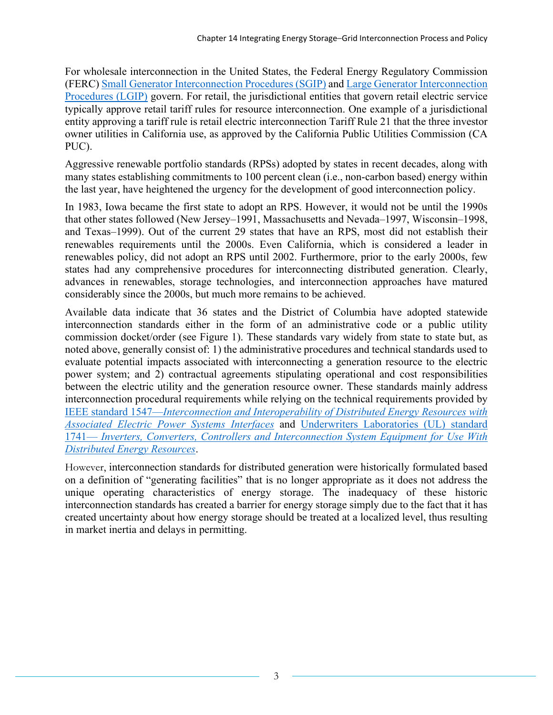For wholesale interconnection in the United States, the Federal Energy Regulatory Commission (FERC) [Small Generator Interconnection Procedures \(SGIP\)](https://www.ferc.gov/sites/default/files/2020-04/sm-gen-procedures.pdf) an[d Large Generator Interconnection](https://www.ferc.gov/sites/default/files/2020-04/LGIP-procedures.pdf)  [Procedures \(LGIP\)](https://www.ferc.gov/sites/default/files/2020-04/LGIP-procedures.pdf) govern. For retail, the jurisdictional entities that govern retail electric service typically approve retail tariff rules for resource interconnection. One example of a jurisdictional entity approving a tariff rule is retail electric interconnection Tariff Rule 21 that the three investor owner utilities in California use, as approved by the California Public Utilities Commission (CA PUC).

Aggressive renewable portfolio standards (RPSs) adopted by states in recent decades, along with many states establishing commitments to 100 percent clean (i.e., non-carbon based) energy within the last year, have heightened the urgency for the development of good interconnection policy.

In 1983, Iowa became the first state to adopt an RPS. However, it would not be until the 1990s that other states followed (New Jersey–1991, Massachusetts and Nevada–1997, Wisconsin–1998, and Texas–1999). Out of the current 29 states that have an RPS, most did not establish their renewables requirements until the 2000s. Even California, which is considered a leader in renewables policy, did not adopt an RPS until 2002. Furthermore, prior to the early 2000s, few states had any comprehensive procedures for interconnecting distributed generation. Clearly, advances in renewables, storage technologies, and interconnection approaches have matured considerably since the 2000s, but much more remains to be achieved.

Available data indicate that 36 states and the District of Columbia have adopted statewide interconnection standards either in the form of an administrative code or a public utility commission docket/order (see [Figure 1\)](#page-3-0). These standards vary widely from state to state but, as noted above, generally consist of: 1) the administrative procedures and technical standards used to evaluate potential impacts associated with interconnecting a generation resource to the electric power system; and 2) contractual agreements stipulating operational and cost responsibilities between the electric utility and the generation resource owner. These standards mainly address interconnection procedural requirements while relying on the technical requirements provided by IEEE standard 1547—*[Interconnection and Interoperability of Distributed Energy Resources with](https://standards.ieee.org/standard/1547-2018.html)  [Associated Electric Power Systems Interfaces](https://standards.ieee.org/standard/1547-2018.html)* and [Underwriters Laboratories \(UL\) standard](https://standardscatalog.ul.com/ProductDetail.aspx?productId=UL1741)  1741— *[Inverters, Converters, Controllers and Interconnection System Equipment for Use With](https://standardscatalog.ul.com/ProductDetail.aspx?productId=UL1741)  [Distributed Energy Resources](https://standardscatalog.ul.com/ProductDetail.aspx?productId=UL1741)*.

However, interconnection standards for distributed generation were historically formulated based on a definition of "generating facilities" that is no longer appropriate as it does not address the unique operating characteristics of energy storage. The inadequacy of these historic interconnection standards has created a barrier for energy storage simply due to the fact that it has created uncertainty about how energy storage should be treated at a localized level, thus resulting in market inertia and delays in permitting.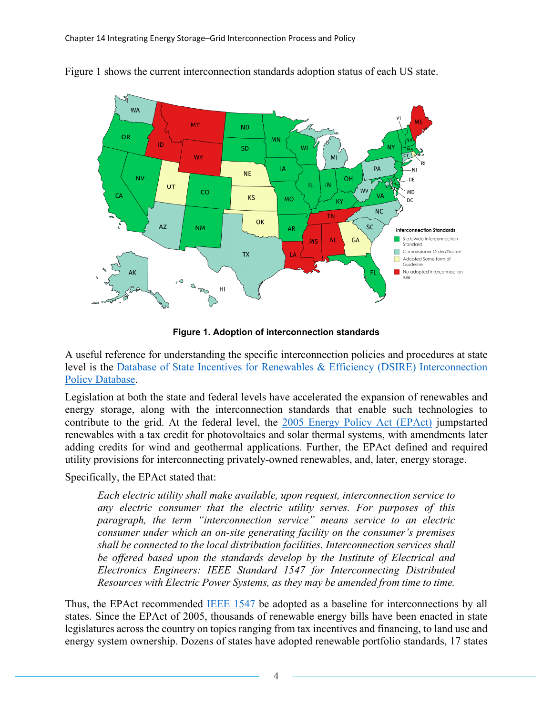

[Figure 1](#page-3-0) shows the current interconnection standards adoption status of each US state.

**Figure 1. Adoption of interconnection standards**

<span id="page-3-0"></span>A useful reference for understanding the specific interconnection policies and procedures at state level is the [Database of State Incentives for Renewables & Efficiency \(DSIRE\) Interconnection](https://programs.dsireusa.org/system/program)  [Policy Database.](https://programs.dsireusa.org/system/program)

Legislation at both the state and federal levels have accelerated the expansion of renewables and energy storage, along with the interconnection standards that enable such technologies to contribute to the grid. At the federal level, the [2005 Energy Policy Act \(EPAct\)](https://www.epa.gov/laws-regulations/summary-energy-policy-act) jumpstarted renewables with a tax credit for photovoltaics and solar thermal systems, with amendments later adding credits for wind and geothermal applications. Further, the EPAct defined and required utility provisions for interconnecting privately-owned renewables, and, later, energy storage.

Specifically, the EPAct stated that:

*Each electric utility shall make available, upon request, interconnection service to any electric consumer that the electric utility serves. For purposes of this paragraph, the term "interconnection service" means service to an electric consumer under which an on-site generating facility on the consumer's premises shall be connected to the local distribution facilities. Interconnection services shall be offered based upon the standards develop by the Institute of Electrical and Electronics Engineers: IEEE Standard 1547 for Interconnecting Distributed Resources with Electric Power Systems, as they may be amended from time to time.*

Thus, the EPAct recommended [IEEE 1547](https://standards.ieee.org/standard/1547-2018.html) be adopted as a baseline for interconnections by all states. Since the EPAct of 2005, thousands of renewable energy bills have been enacted in state legislatures across the country on topics ranging from tax incentives and financing, to land use and energy system ownership. Dozens of states have adopted renewable portfolio standards, 17 states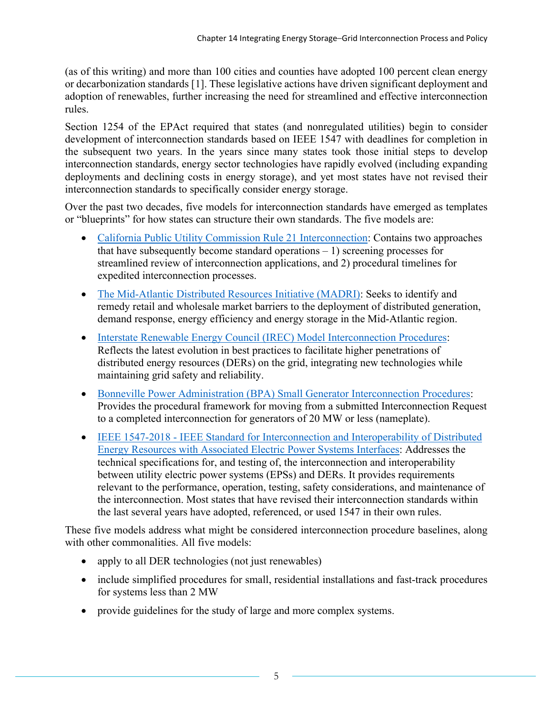(as of this writing) and more than 100 cities and counties have adopted 100 percent clean energy or decarbonization standards [[1](#page-13-0)]. These legislative actions have driven significant deployment and adoption of renewables, further increasing the need for streamlined and effective interconnection rules.

Section 1254 of the EPAct required that states (and nonregulated utilities) begin to consider development of interconnection standards based on IEEE 1547 with deadlines for completion in the subsequent two years. In the years since many states took those initial steps to develop interconnection standards, energy sector technologies have rapidly evolved (including expanding deployments and declining costs in energy storage), and yet most states have not revised their interconnection standards to specifically consider energy storage.

Over the past two decades, five models for interconnection standards have emerged as templates or "blueprints" for how states can structure their own standards. The five models are:

- California [Public Utility Commission Rule 21 Interconnection:](https://www.cpuc.ca.gov/rule21/) Contains two approaches that have subsequently become standard operations  $-1$ ) screening processes for streamlined review of interconnection applications, and 2) procedural timelines for expedited interconnection processes.
- [The Mid-Atlantic Distributed](https://www.madrionline.org/about/) Resources Initiative (MADRI): Seeks to identify and remedy retail and wholesale market barriers to the deployment of distributed generation, demand response, energy efficiency and energy storage in the Mid-Atlantic region.
- [Interstate Renewable Energy Council \(IREC\) Model Interconnection Procedures:](https://irecusa.org/blog/regulatory-engagement/2019-edition-released-irecs-model-interconnection-procedures/) Reflects the latest evolution in best practices to facilitate higher penetrations of distributed energy resources (DERs) on the grid, integrating new technologies while maintaining grid safety and reliability.
- [Bonneville Power Administration \(BPA\) Small Generator Interconnection Procedures:](https://www.bpa.gov/transmission/Doing%20Business/Interconnection/Pages/SGIP.aspx) Provides the procedural framework for moving from a submitted Interconnection Request to a completed interconnection for generators of 20 MW or less (nameplate).
- IEEE 1547-2018 [IEEE Standard for Interconnection and Interoperability of Distributed](https://standards.ieee.org/standard/1547-2018.html)  [Energy Resources with Associated Electric Power Systems Interfaces:](https://standards.ieee.org/standard/1547-2018.html) Addresses the technical specifications for, and testing of, the interconnection and interoperability between utility electric power systems (EPSs) and DERs. It provides requirements relevant to the performance, operation, testing, safety considerations, and maintenance of the interconnection. Most states that have revised their interconnection standards within the last several years have adopted, referenced, or used 1547 in their own rules.

These five models address what might be considered interconnection procedure baselines, along with other commonalities. All five models:

- apply to all DER technologies (not just renewables)
- include simplified procedures for small, residential installations and fast-track procedures for systems less than 2 MW
- provide guidelines for the study of large and more complex systems.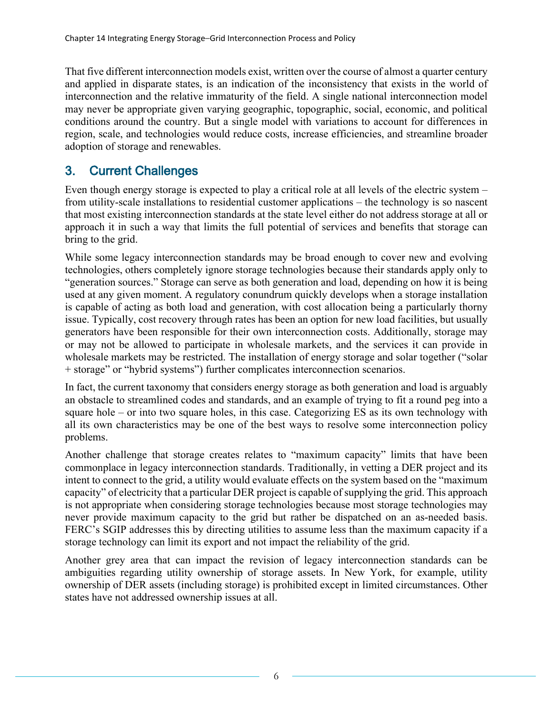That five different interconnection models exist, written over the course of almost a quarter century and applied in disparate states, is an indication of the inconsistency that exists in the world of interconnection and the relative immaturity of the field. A single national interconnection model may never be appropriate given varying geographic, topographic, social, economic, and political conditions around the country. But a single model with variations to account for differences in region, scale, and technologies would reduce costs, increase efficiencies, and streamline broader adoption of storage and renewables.

### 3. Current Challenges

Even though energy storage is expected to play a critical role at all levels of the electric system – from utility-scale installations to residential customer applications – the technology is so nascent that most existing interconnection standards at the state level either do not address storage at all or approach it in such a way that limits the full potential of services and benefits that storage can bring to the grid.

While some legacy interconnection standards may be broad enough to cover new and evolving technologies, others completely ignore storage technologies because their standards apply only to "generation sources." Storage can serve as both generation and load, depending on how it is being used at any given moment. A regulatory conundrum quickly develops when a storage installation is capable of acting as both load and generation, with cost allocation being a particularly thorny issue. Typically, cost recovery through rates has been an option for new load facilities, but usually generators have been responsible for their own interconnection costs. Additionally, storage may or may not be allowed to participate in wholesale markets, and the services it can provide in wholesale markets may be restricted. The installation of energy storage and solar together ("solar + storage" or "hybrid systems") further complicates interconnection scenarios.

In fact, the current taxonomy that considers energy storage as both generation and load is arguably an obstacle to streamlined codes and standards, and an example of trying to fit a round peg into a square hole – or into two square holes, in this case. Categorizing ES as its own technology with all its own characteristics may be one of the best ways to resolve some interconnection policy problems.

Another challenge that storage creates relates to "maximum capacity" limits that have been commonplace in legacy interconnection standards. Traditionally, in vetting a DER project and its intent to connect to the grid, a utility would evaluate effects on the system based on the "maximum capacity" of electricity that a particular DER project is capable of supplying the grid. This approach is not appropriate when considering storage technologies because most storage technologies may never provide maximum capacity to the grid but rather be dispatched on an as-needed basis. FERC's SGIP addresses this by directing utilities to assume less than the maximum capacity if a storage technology can limit its export and not impact the reliability of the grid.

Another grey area that can impact the revision of legacy interconnection standards can be ambiguities regarding utility ownership of storage assets. In New York, for example, utility ownership of DER assets (including storage) is prohibited except in limited circumstances. Other states have not addressed ownership issues at all.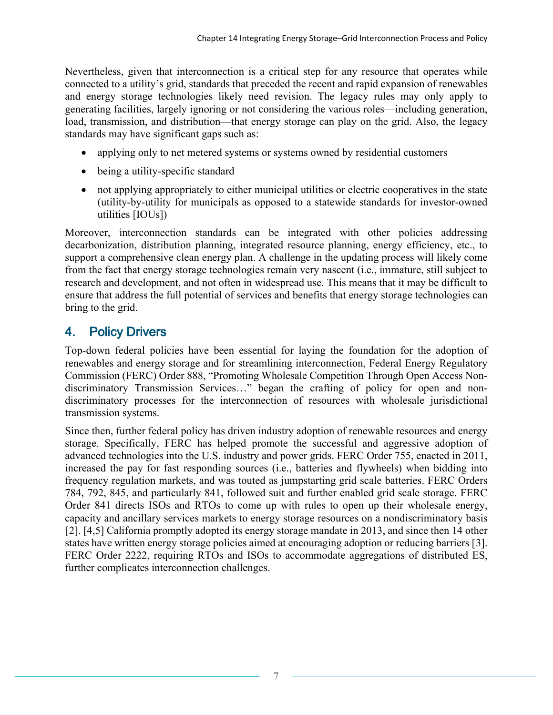Nevertheless, given that interconnection is a critical step for any resource that operates while connected to a utility's grid, standards that preceded the recent and rapid expansion of renewables and energy storage technologies likely need revision. The legacy rules may only apply to generating facilities, largely ignoring or not considering the various roles—including generation, load, transmission, and distribution—that energy storage can play on the grid. Also, the legacy standards may have significant gaps such as:

- applying only to net metered systems or systems owned by residential customers
- being a utility-specific standard
- not applying appropriately to either municipal utilities or electric cooperatives in the state (utility-by-utility for municipals as opposed to a statewide standards for investor-owned utilities [IOUs])

Moreover, interconnection standards can be integrated with other policies addressing decarbonization, distribution planning, integrated resource planning, energy efficiency, etc., to support a comprehensive clean energy plan. A challenge in the updating process will likely come from the fact that energy storage technologies remain very nascent (i.e., immature, still subject to research and development, and not often in widespread use. This means that it may be difficult to ensure that address the full potential of services and benefits that energy storage technologies can bring to the grid.

# 4. Policy Drivers

Top-down federal policies have been essential for laying the foundation for the adoption of renewables and energy storage and for streamlining interconnection, Federal Energy Regulatory Commission (FERC) Order 888, "Promoting Wholesale Competition Through Open Access Nondiscriminatory Transmission Services…" began the crafting of policy for open and nondiscriminatory processes for the interconnection of resources with wholesale jurisdictional transmission systems.

Since then, further federal policy has driven industry adoption of renewable resources and energy storage. Specifically, FERC has helped promote the successful and aggressive adoption of advanced technologies into the U.S. industry and power grids. FERC Order 755, enacted in 2011, increased the pay for fast responding sources (i.e., batteries and flywheels) when bidding into frequency regulation markets, and was touted as jumpstarting grid scale batteries. FERC Orders 784, 792, 845, and particularly 841, followed suit and further enabled grid scale storage. FERC Order 841 directs ISOs and RTOs to come up with rules to open up their wholesale energy, capacity and ancillary services markets to energy storage resources on a nondiscriminatory basis [[2](#page-13-1)]. [4,5] California promptly adopted its energy storage mandate in 2013, and since then 14 other states have written energy storage policies aimed at encouraging adoption or reducing barriers [[3\]](#page-13-2). FERC Order 2222, requiring RTOs and ISOs to accommodate aggregations of distributed ES, further complicates interconnection challenges.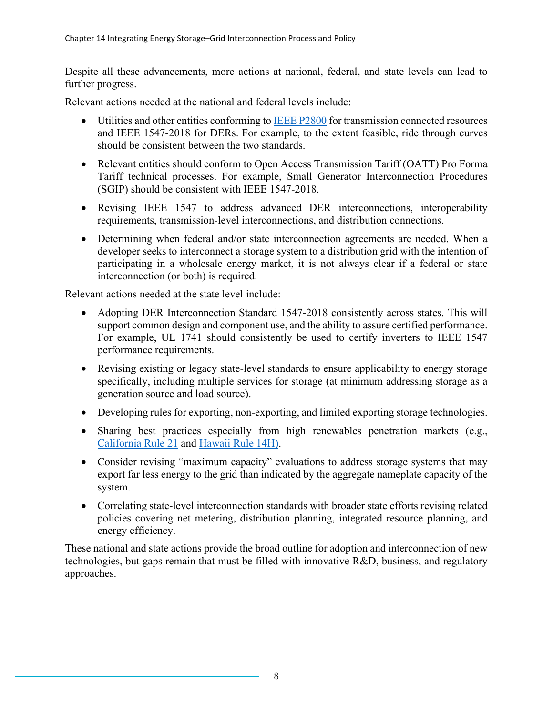Despite all these advancements, more actions at national, federal, and state levels can lead to further progress.

Relevant actions needed at the national and federal levels include:

- Utilities and other entities conforming to [IEEE P2800](https://standards.ieee.org/project/2800.html) for transmission connected resources and IEEE 1547-2018 for DERs. For example, to the extent feasible, ride through curves should be consistent between the two standards.
- Relevant entities should conform to Open Access Transmission Tariff (OATT) Pro Forma Tariff technical processes. For example, Small Generator Interconnection Procedures (SGIP) should be consistent with IEEE 1547-2018.
- Revising IEEE 1547 to address advanced DER interconnections, interoperability requirements, transmission-level interconnections, and distribution connections.
- Determining when federal and/or state interconnection agreements are needed. When a developer seeks to interconnect a storage system to a distribution grid with the intention of participating in a wholesale energy market, it is not always clear if a federal or state interconnection (or both) is required.

Relevant actions needed at the state level include:

- Adopting DER Interconnection Standard 1547-2018 consistently across states. This will support common design and component use, and the ability to assure certified performance. For example, UL 1741 should consistently be used to certify inverters to IEEE 1547 performance requirements.
- Revising existing or legacy state-level standards to ensure applicability to energy storage specifically, including multiple services for storage (at minimum addressing storage as a generation source and load source).
- Developing rules for exporting, non-exporting, and limited exporting storage technologies.
- Sharing best practices especially from high renewables penetration markets (e.g., [California Rule 21](https://www.cpuc.ca.gov/Rule21/) and [Hawaii Rule 14H\)](https://www.hawaiianelectric.com/billing-and-payment/rates-and-regulations/hawaiian-electric-rules).
- Consider revising "maximum capacity" evaluations to address storage systems that may export far less energy to the grid than indicated by the aggregate nameplate capacity of the system.
- Correlating state-level interconnection standards with broader state efforts revising related policies covering net metering, distribution planning, integrated resource planning, and energy efficiency.

These national and state actions provide the broad outline for adoption and interconnection of new technologies, but gaps remain that must be filled with innovative R&D, business, and regulatory approaches.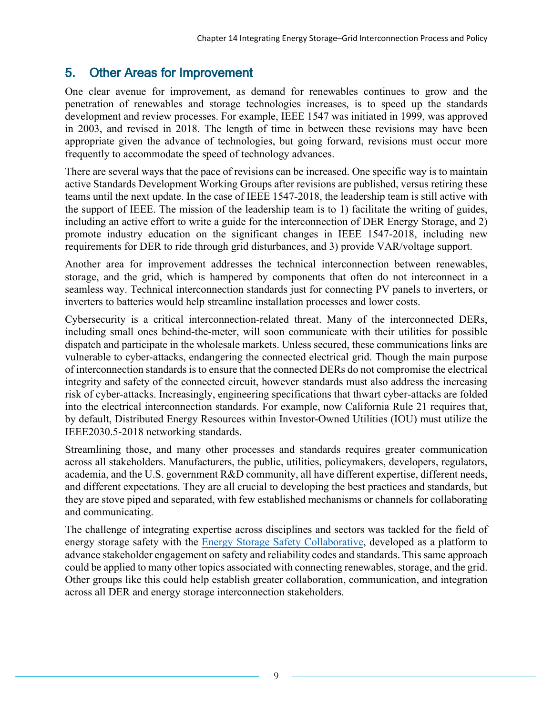#### 5. Other Areas for Improvement

One clear avenue for improvement, as demand for renewables continues to grow and the penetration of renewables and storage technologies increases, is to speed up the standards development and review processes. For example, IEEE 1547 was initiated in 1999, was approved in 2003, and revised in 2018. The length of time in between these revisions may have been appropriate given the advance of technologies, but going forward, revisions must occur more frequently to accommodate the speed of technology advances.

There are several ways that the pace of revisions can be increased. One specific way is to maintain active Standards Development Working Groups after revisions are published, versus retiring these teams until the next update. In the case of IEEE 1547-2018, the leadership team is still active with the support of IEEE. The mission of the leadership team is to 1) facilitate the writing of guides, including an active effort to write a guide for the interconnection of DER Energy Storage, and 2) promote industry education on the significant changes in IEEE 1547-2018, including new requirements for DER to ride through grid disturbances, and 3) provide VAR/voltage support.

Another area for improvement addresses the technical interconnection between renewables, storage, and the grid, which is hampered by components that often do not interconnect in a seamless way. Technical interconnection standards just for connecting PV panels to inverters, or inverters to batteries would help streamline installation processes and lower costs.

Cybersecurity is a critical interconnection-related threat. Many of the interconnected DERs, including small ones behind-the-meter, will soon communicate with their utilities for possible dispatch and participate in the wholesale markets. Unless secured, these communications links are vulnerable to cyber-attacks, endangering the connected electrical grid. Though the main purpose of interconnection standards is to ensure that the connected DERs do not compromise the electrical integrity and safety of the connected circuit, however standards must also address the increasing risk of cyber-attacks. Increasingly, engineering specifications that thwart cyber-attacks are folded into the electrical interconnection standards. For example, now California Rule 21 requires that, by default, Distributed Energy Resources within Investor-Owned Utilities (IOU) must utilize the IEEE2030.5-2018 networking standards.

Streamlining those, and many other processes and standards requires greater communication across all stakeholders. Manufacturers, the public, utilities, policymakers, developers, regulators, academia, and the U.S. government R&D community, all have different expertise, different needs, and different expectations. They are all crucial to developing the best practices and standards, but they are stove piped and separated, with few established mechanisms or channels for collaborating and communicating.

The challenge of integrating expertise across disciplines and sectors was tackled for the field of energy storage safety with the **Energy Storage Safety Collaborative**, developed as a platform to advance stakeholder engagement on safety and reliability codes and standards. This same approach could be applied to many other topics associated with connecting renewables, storage, and the grid. Other groups like this could help establish greater collaboration, communication, and integration across all DER and energy storage interconnection stakeholders.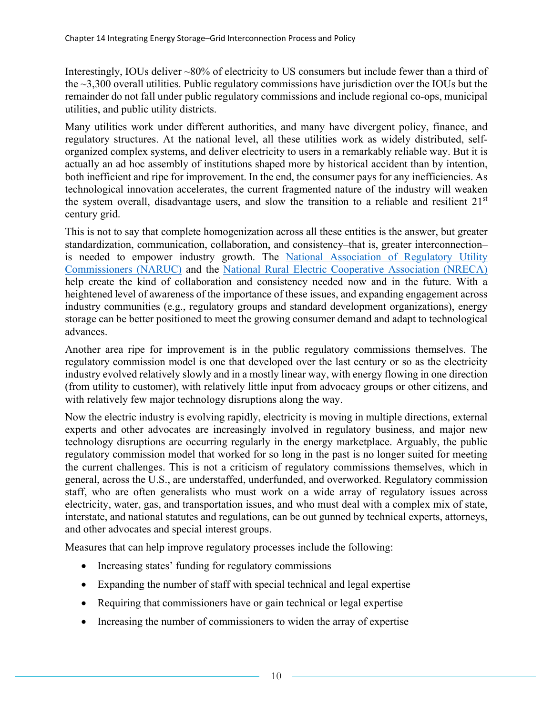Interestingly, IOUs deliver ~80% of electricity to US consumers but include fewer than a third of the ~3,300 overall utilities. Public regulatory commissions have jurisdiction over the IOUs but the remainder do not fall under public regulatory commissions and include regional co-ops, municipal utilities, and public utility districts.

Many utilities work under different authorities, and many have divergent policy, finance, and regulatory structures. At the national level, all these utilities work as widely distributed, selforganized complex systems, and deliver electricity to users in a remarkably reliable way. But it is actually an ad hoc assembly of institutions shaped more by historical accident than by intention, both inefficient and ripe for improvement. In the end, the consumer pays for any inefficiencies. As technological innovation accelerates, the current fragmented nature of the industry will weaken the system overall, disadvantage users, and slow the transition to a reliable and resilient 21st century grid.

This is not to say that complete homogenization across all these entities is the answer, but greater standardization, communication, collaboration, and consistency–that is, greater interconnection– is needed to empower industry growth. The National Association of Regulatory Utility [Commissioners \(NARUC\)](https://www.naruc.org/) and the [National Rural Electric Cooperative Association \(NRECA\)](https://www.electric.coop/) help create the kind of collaboration and consistency needed now and in the future. With a heightened level of awareness of the importance of these issues, and expanding engagement across industry communities (e.g., regulatory groups and standard development organizations), energy storage can be better positioned to meet the growing consumer demand and adapt to technological advances.

Another area ripe for improvement is in the public regulatory commissions themselves. The regulatory commission model is one that developed over the last century or so as the electricity industry evolved relatively slowly and in a mostly linear way, with energy flowing in one direction (from utility to customer), with relatively little input from advocacy groups or other citizens, and with relatively few major technology disruptions along the way.

Now the electric industry is evolving rapidly, electricity is moving in multiple directions, external experts and other advocates are increasingly involved in regulatory business, and major new technology disruptions are occurring regularly in the energy marketplace. Arguably, the public regulatory commission model that worked for so long in the past is no longer suited for meeting the current challenges. This is not a criticism of regulatory commissions themselves, which in general, across the U.S., are understaffed, underfunded, and overworked. Regulatory commission staff, who are often generalists who must work on a wide array of regulatory issues across electricity, water, gas, and transportation issues, and who must deal with a complex mix of state, interstate, and national statutes and regulations, can be out gunned by technical experts, attorneys, and other advocates and special interest groups.

Measures that can help improve regulatory processes include the following:

- Increasing states' funding for regulatory commissions
- Expanding the number of staff with special technical and legal expertise
- Requiring that commissioners have or gain technical or legal expertise
- Increasing the number of commissioners to widen the array of expertise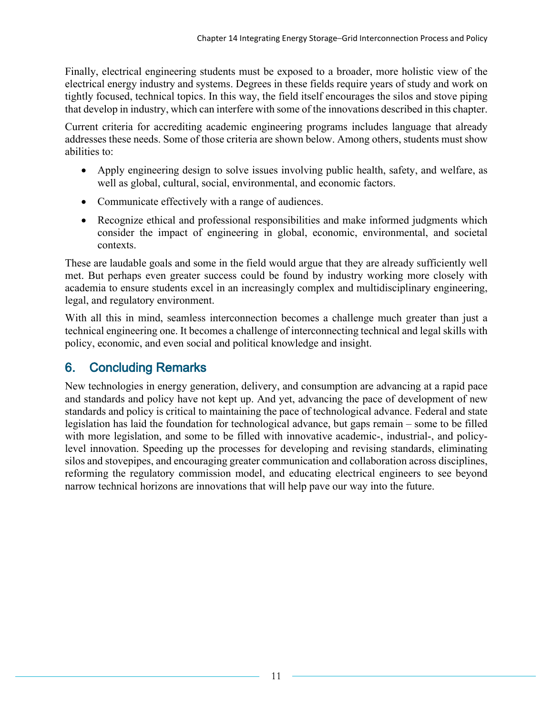Finally, electrical engineering students must be exposed to a broader, more holistic view of the electrical energy industry and systems. Degrees in these fields require years of study and work on tightly focused, technical topics. In this way, the field itself encourages the silos and stove piping that develop in industry, which can interfere with some of the innovations described in this chapter.

Current criteria for accrediting academic engineering programs includes language that already addresses these needs. Some of those criteria are shown below. Among others, students must show abilities to:

- Apply engineering design to solve issues involving public health, safety, and welfare, as well as global, cultural, social, environmental, and economic factors.
- Communicate effectively with a range of audiences.
- Recognize ethical and professional responsibilities and make informed judgments which consider the impact of engineering in global, economic, environmental, and societal contexts.

These are laudable goals and some in the field would argue that they are already sufficiently well met. But perhaps even greater success could be found by industry working more closely with academia to ensure students excel in an increasingly complex and multidisciplinary engineering, legal, and regulatory environment.

With all this in mind, seamless interconnection becomes a challenge much greater than just a technical engineering one. It becomes a challenge of interconnecting technical and legal skills with policy, economic, and even social and political knowledge and insight.

### 6. Concluding Remarks

New technologies in energy generation, delivery, and consumption are advancing at a rapid pace and standards and policy have not kept up. And yet, advancing the pace of development of new standards and policy is critical to maintaining the pace of technological advance. Federal and state legislation has laid the foundation for technological advance, but gaps remain – some to be filled with more legislation, and some to be filled with innovative academic-, industrial-, and policylevel innovation. Speeding up the processes for developing and revising standards, eliminating silos and stovepipes, and encouraging greater communication and collaboration across disciplines, reforming the regulatory commission model, and educating electrical engineers to see beyond narrow technical horizons are innovations that will help pave our way into the future.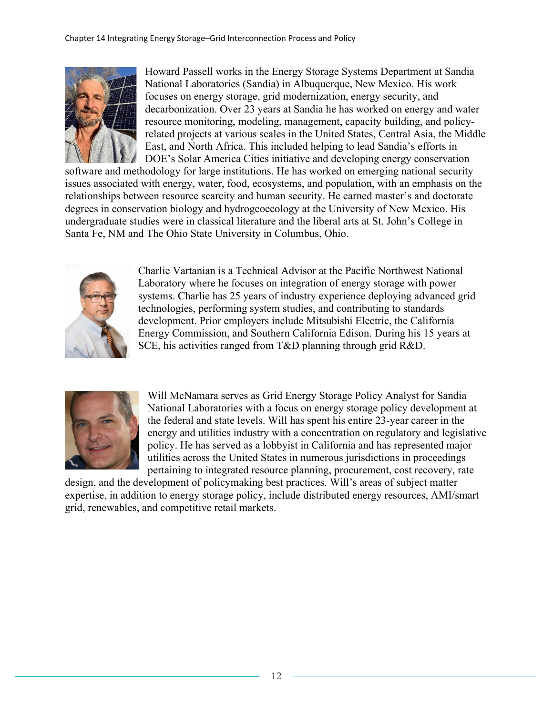

Howard Passell works in the Energy Storage Systems Department at Sandia National Laboratories (Sandia) in Albuquerque, New Mexico. His work focuses on energy storage, grid modernization, energy security, and decarbonization. Over 23 years at Sandia he has worked on energy and water resource monitoring, modeling, management, capacity building, and policyrelated projects at various scales in the United States, Central Asia, the Middle East, and North Africa. This included helping to lead Sandia's efforts in DOE's Solar America Cities initiative and developing energy conservation

software and methodology for large institutions. He has worked on emerging national security issues associated with energy, water, food, ecosystems, and population, with an emphasis on the relationships between resource scarcity and human security. He earned master's and doctorate degrees in conservation biology and hydrogeoecology at the University of New Mexico. His undergraduate studies were in classical literature and the liberal arts at St. John's College in Santa Fe, NM and The Ohio State University in Columbus, Ohio.



Charlie Vartanian is a Technical Advisor at the Pacific Northwest National Laboratory where he focuses on integration of energy storage with power systems. Charlie has 25 years of industry experience deploying advanced grid technologies, performing system studies, and contributing to standards development. Prior employers include Mitsubishi Electric, the California Energy Commission, and Southern California Edison. During his 15 years at SCE, his activities ranged from T&D planning through grid R&D.



Will McNamara serves as Grid Energy Storage Policy Analyst for Sandia National Laboratories with a focus on energy storage policy development at the federal and state levels. Will has spent his entire 23-year career in the energy and utilities industry with a concentration on regulatory and legislative policy. He has served as a lobbyist in California and has represented major utilities across the United States in numerous jurisdictions in proceedings pertaining to integrated resource planning, procurement, cost recovery, rate

design, and the development of policymaking best practices. Will's areas of subject matter expertise, in addition to energy storage policy, include distributed energy resources, AMI/smart grid, renewables, and competitive retail markets.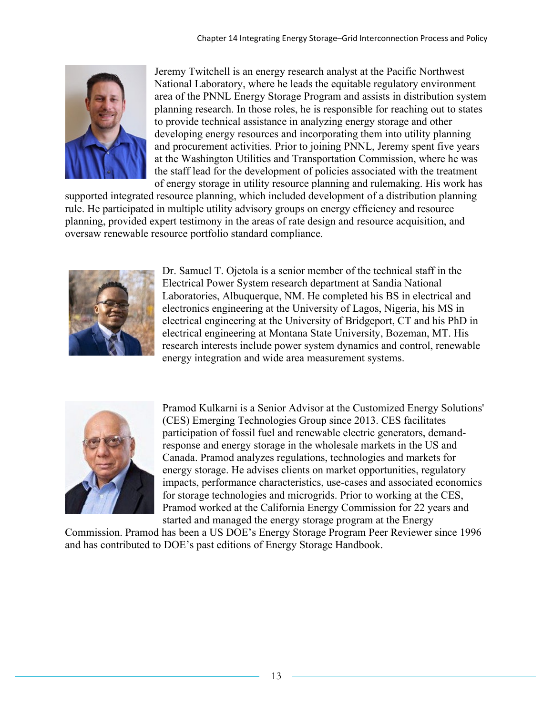

Jeremy Twitchell is an energy research analyst at the Pacific Northwest National Laboratory, where he leads the equitable regulatory environment area of the PNNL Energy Storage Program and assists in distribution system planning research. In those roles, he is responsible for reaching out to states to provide technical assistance in analyzing energy storage and other developing energy resources and incorporating them into utility planning and procurement activities. Prior to joining PNNL, Jeremy spent five years at the Washington Utilities and Transportation Commission, where he was the staff lead for the development of policies associated with the treatment of energy storage in utility resource planning and rulemaking. His work has

supported integrated resource planning, which included development of a distribution planning rule. He participated in multiple utility advisory groups on energy efficiency and resource planning, provided expert testimony in the areas of rate design and resource acquisition, and oversaw renewable resource portfolio standard compliance.



Dr. Samuel T. Ojetola is a senior member of the technical staff in the Electrical Power System research department at Sandia National Laboratories, Albuquerque, NM. He completed his BS in electrical and electronics engineering at the University of Lagos, Nigeria, his MS in electrical engineering at the University of Bridgeport, CT and his PhD in electrical engineering at Montana State University, Bozeman, MT. His research interests include power system dynamics and control, renewable energy integration and wide area measurement systems.



Pramod Kulkarni is a Senior Advisor at the Customized Energy Solutions' (CES) Emerging Technologies Group since 2013. CES facilitates participation of fossil fuel and renewable electric generators, demandresponse and energy storage in the wholesale markets in the US and Canada. Pramod analyzes regulations, technologies and markets for energy storage. He advises clients on market opportunities, regulatory impacts, performance characteristics, use-cases and associated economics for storage technologies and microgrids. Prior to working at the CES, Pramod worked at the California Energy Commission for 22 years and started and managed the energy storage program at the Energy

Commission. Pramod has been a US DOE's Energy Storage Program Peer Reviewer since 1996 and has contributed to DOE's past editions of Energy Storage Handbook.